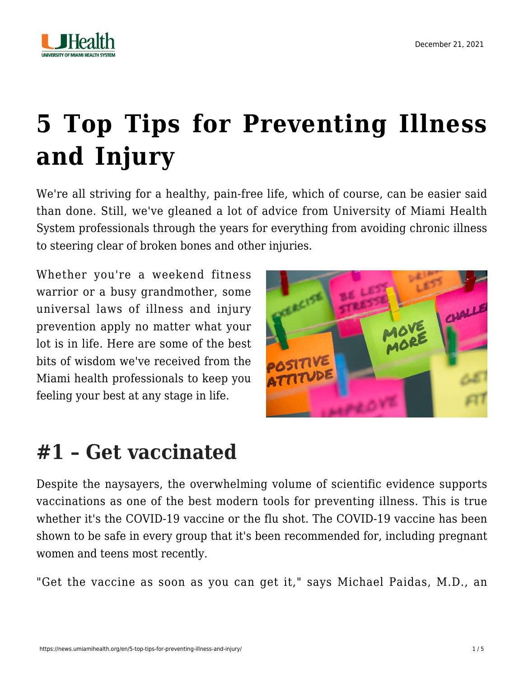

# **[5 Top Tips for Preventing Illness](https://news.umiamihealth.org/en/5-top-tips-for-preventing-illness-and-injury/) [and Injury](https://news.umiamihealth.org/en/5-top-tips-for-preventing-illness-and-injury/)**

We're all striving for a healthy, pain-free life, which of course, can be easier said than done. Still, we've gleaned a lot of advice from University of Miami Health System professionals through the years for everything from avoiding chronic illness to steering clear of broken bones and other injuries.

Whether you're a weekend fitness warrior or a busy grandmother, some universal laws of illness and injury prevention apply no matter what your lot is in life. Here are some of the best bits of wisdom we've received from the Miami health professionals to keep you feeling your best at any stage in life.



### **#1 – Get vaccinated**

Despite the naysayers, the overwhelming volume of scientific evidence supports vaccinations as one of the best modern tools for preventing illness. This is true whether it's the COVID-19 vaccine or the flu shot. The COVID-19 vaccine has been shown to be safe in every group that it's been recommended for, including [pregnant](https://news.umiamihealth.org/en/covid-19-vaccines-are-safe-for-women-and-teens/) [women and teens most recently.](https://news.umiamihealth.org/en/covid-19-vaccines-are-safe-for-women-and-teens/)

"Get the vaccine as soon as you can get it," says [Michael Paidas, M.D.](https://doctors.umiamihealth.org/provider/Michael+John+Paidas/885170?unified=paidas&sort=relevance&tt=84956c92-0487-48b0-a273-ca83faad10ad&ut=66f23840-13fd-4e6a-85e7-7690560ef315×tamp=2021-09-23T16%3A42%3A56.028Z), an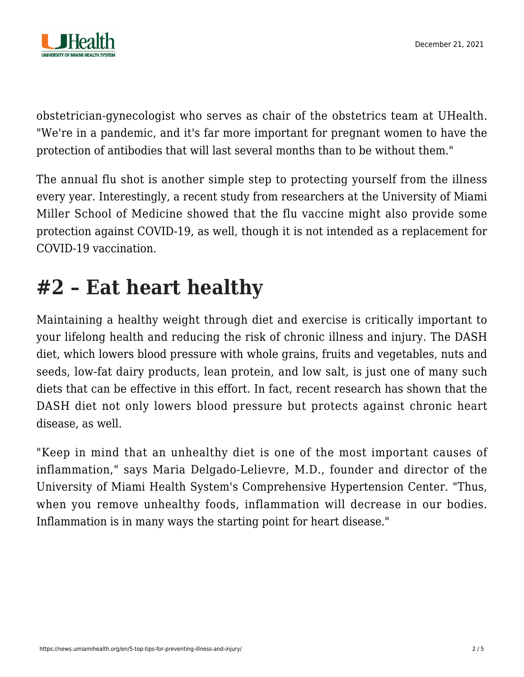

obstetrician-gynecologist who serves as chair of the obstetrics team at UHealth. "We're in a pandemic, and it's far more important for pregnant women to have the protection of antibodies that will last several months than to be without them."

The annual flu shot is another simple step to protecting yourself from the illness every year. Interestingly, a recent study from researchers at the University of Miami Miller School of Medicine showed that [the flu vaccine might also provide some](https://news.umiamihealth.org/en/does-the-flu-shot-provide-protection-against-covid-19/) [protection against COVID-19](https://news.umiamihealth.org/en/does-the-flu-shot-provide-protection-against-covid-19/), as well, though it is not intended as a replacement for COVID-19 vaccination.

### **#2 – Eat heart healthy**

Maintaining a healthy weight through diet and exercise is critically important to your lifelong health and reducing the risk of chronic illness and injury. The DASH diet, which lowers blood pressure with whole grains, fruits and vegetables, nuts and seeds, low-fat dairy products, lean protein, and low salt, is just one of many such diets that can be effective in this effort. In fact, [recent research has shown that the](https://news.umiamihealth.org/en/dash-diet-and-your-heart-health/) [DASH diet not only lowers blood pressure but protects against chronic heart](https://news.umiamihealth.org/en/dash-diet-and-your-heart-health/) [disease](https://news.umiamihealth.org/en/dash-diet-and-your-heart-health/), as well.

"Keep in mind that an unhealthy diet is one of the most important causes of inflammation," says [Maria Delgado-Lelievre, M.D](https://doctors.umiamihealth.org/provider/Maria+Carolina+Delgado-Lelievre/582574)., founder and director of the University of Miami Health System's Comprehensive Hypertension Center. "Thus, when you remove unhealthy foods, inflammation will decrease in our bodies. Inflammation is in many ways the starting point for heart disease."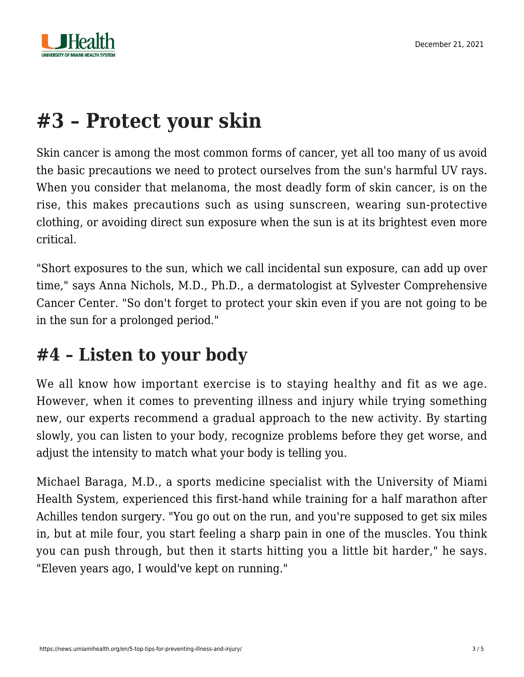

## **#3 – Protect your skin**

Skin cancer is among the most common forms of cancer, yet all too many of us avoid the basic precautions we need to protect ourselves from the sun's harmful UV rays. When you consider that [melanoma, the most deadly form of skin cancer, is on the](https://news.umiamihealth.org/en/take-steps-to-prevent-skin-cancer/) [rise](https://news.umiamihealth.org/en/take-steps-to-prevent-skin-cancer/), this makes precautions such as using sunscreen, wearing sun-protective clothing, or avoiding direct sun exposure when the sun is at its brightest even more critical.

"Short exposures to the sun, which we call incidental sun exposure, can add up over time," says [Anna Nichols, M.D., Ph.D.](https://sylvester-doctors.umiamihealth.org/provider/Anna+Nichols/524883?unified=nichols&sort=relevance&tt=775110fe-cf5c-4a49-9512-2be80838e597&ut=66f23840-13fd-4e6a-85e7-7690560ef315×tamp=2021-07-20T15%3A28%3A37.747Z), a dermatologist at Sylvester Comprehensive Cancer Center. "So don't forget to protect your skin even if you are not going to be in the sun for a prolonged period."

### **#4 – Listen to your body**

We all know how important exercise is to staying healthy and fit as we age. However, when it comes to preventing illness and injury while trying something new, our experts recommend a gradual approach to the new activity. By starting slowly, you can listen to your body, recognize problems before they get worse, and adjust the intensity to match what your body is telling you.

[Michael Baraga, M.D.](https://doctors.umiamihealth.org/provider/Michael+Gerald+Baraga/525565), a sports medicine specialist with the University of Miami Health System, experienced this first-hand while [training for a half marathon after](https://news.umiamihealth.org/en/half-marathon-training-tips-from-sports-medicine-experts/) [Achilles tendon surgery](https://news.umiamihealth.org/en/half-marathon-training-tips-from-sports-medicine-experts/). "You go out on the run, and you're supposed to get six miles in, but at mile four, you start feeling a sharp pain in one of the muscles. You think you can push through, but then it starts hitting you a little bit harder," he says. "Eleven years ago, I would've kept on running."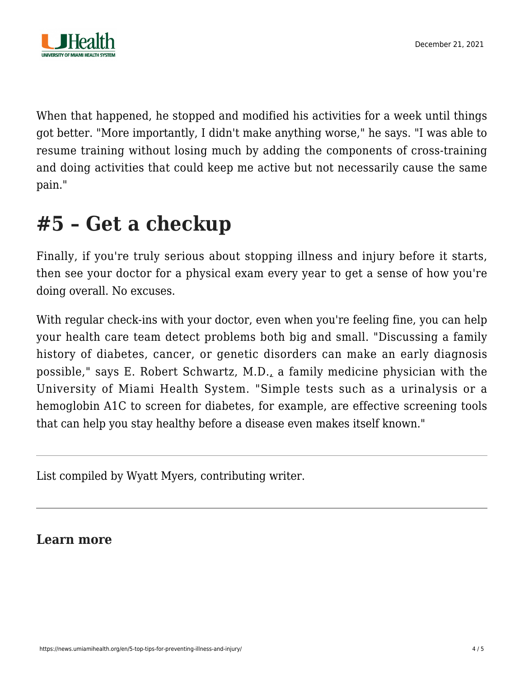

When that happened, he stopped and modified his activities for a week until things got better. "More importantly, I didn't make anything worse," he says. "I was able to resume training without losing much by adding the components of cross-training and doing activities that could keep me active but not necessarily cause the same pain."

### **#5 – Get a checkup**

Finally, if you're truly serious about stopping illness and injury before it starts, then [see your doctor for a physical exam every year](https://news.umiamihealth.org/en/should-i-get-a-physical-exam/) to get a sense of how you're doing overall. No excuses.

With regular check-ins with your doctor, even when you're feeling fine, you can help your health care team detect problems both big and small. "Discussing a family history of diabetes, cancer, or genetic disorders can make an early diagnosis possible," says [E. Robert Schwartz, M.D.](https://doctors.umiamihealth.org/provider/E.+Robert+Schwartz/525505?name=E.%20Robert%20Robert%20Schwartz&sort=relevance&tt=a9a07158-3573-41ae-8b46-56ab64490356&ut=042200e1-df97-472b-994c-bbe7b89308c3×tamp=2020-11-10T17%3A02%3A31.591Z), a family medicine physician with the University of Miami Health System. "Simple tests such as a urinalysis or a hemoglobin A1C to screen for diabetes, for example, are effective screening tools that can help you stay healthy before a disease even makes itself known."

List compiled by Wyatt Myers, contributing writer.

#### **Learn more**